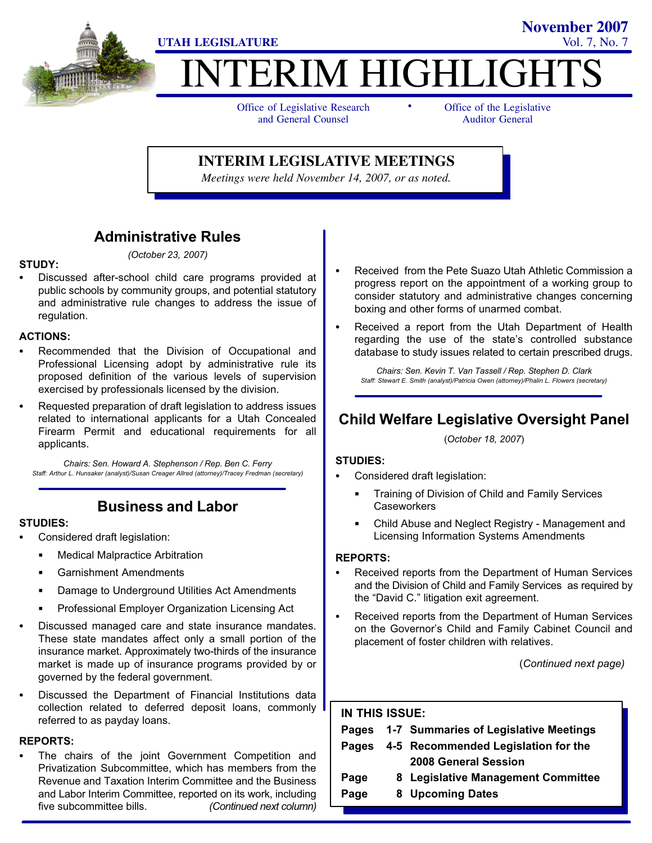

# ITERIM HIGHLIGH -

Office of Legislative Research and General Counsel

Office of the Legislative Auditor General

**November 2007**

#### **INTERIM LEGISLATIVE MEETINGS**

*Meetings were held November 14, 2007, or as noted.*

#### Administrative Rules (October 23, 2007)

### STUDY:

 Discussed after−school child care programs provided at public schools by community groups, and potential statutory and administrative rule changes to address the issue of regulation.

# ACTIONS: -

- Recommended that the Division of Occupational and Professional Licensing adopt by administrative rule its proposed definition of the various levels of supervision exercised by professionals licensed by the division.
- Requested preparation of draft legislation to address issues related to international applicants for a Utah Concealed Firearm Permit and educational requirements for all applicants.

Chairs: Sen. Howard A. Stephenson / Rep. Ben C. Ferry Staff: Arthur L. Hunsaker (analyst)/Susan Creager Allred (attorney)/Tracey Fredman (secretary)

### Business and Labor

### STUDIES:<br>-

- Considered draft legislation:
	- $\blacksquare$ Medical Malpractice Arbitration
	- Garnishment Amendments
	- Damage to Underground Utilities Act Amendments
	- Professional Employer Organization Licensing Act
- Discussed managed care and state insurance mandates. These state mandates affect only a small portion of the insurance market. Approximately two−thirds of the insurance market is made up of insurance programs provided by or governed by the federal government.
- Discussed the Department of Financial Institutions data collection related to deferred deposit loans, commonly referred to as payday loans.

### REPORTS:<br>—

 The chairs of the joint Government Competition and Privatization Subcommittee, which has members from the Revenue and Taxation Interim Committee and the Business and Labor Interim Committee, reported on its work, including five subcommittee bills. (Continued next column)

- Received from the Pete Suazo Utah Athletic Commission a progress report on the appointment of a working group to consider statutory and administrative changes concerning boxing and other forms of unarmed combat.
- Received a report from the Utah Department of Health regarding the use of the state's controlled substance database to study issues related to certain prescribed drugs.

Chairs: Sen. Kevin T. Van Tassell / Rep. Stephen D. Clark Staff: Stewart E. Smith (analyst)/Patricia Owen (attorney)/Phalin L. Flowers (secretary)

### Child Welfare Legislative Oversight Panel

(October 18, 2007)

# STUDIES: -

- Considered draft legislation:
	- Training of Division of Child and Family Services **Caseworkers**
	- Child Abuse and Neglect Registry − Management and Licensing Information Systems Amendments

### REPORTS: -

- Received reports from the Department of Human Services and the Division of Child and Family Services as required by the "David C." litigation exit agreement.
- Received reports from the Department of Human Services on the Governor's Child and Family Cabinet Council and placement of foster children with relatives.

(Continued next page)

### IN THIS ISSUE: Pages 1−7 Summaries of Legislative Meetings Pages 4−5 Recommended Legislation for the 2008 General Session Page 8 Legislative Management Committee Page 8 Upcoming Dates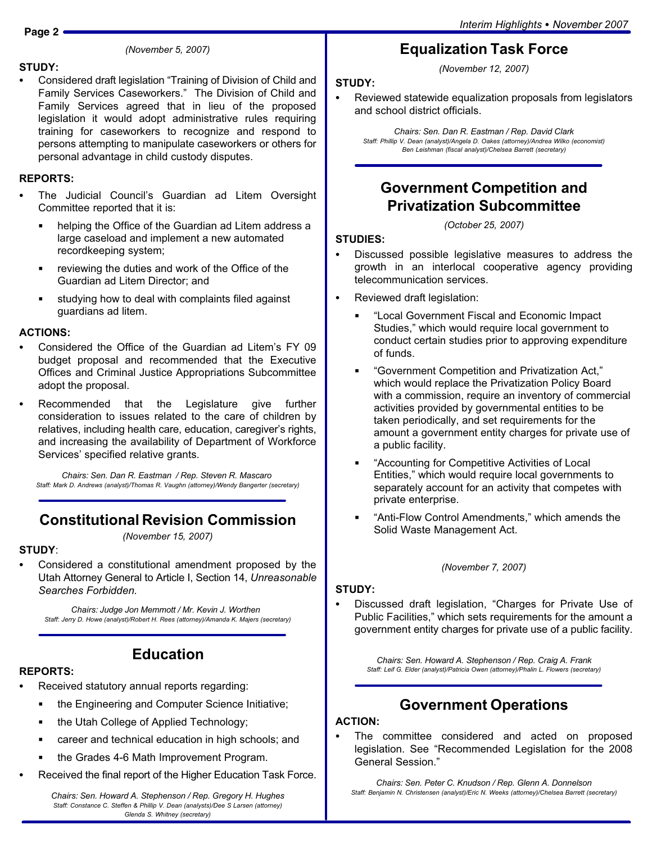#### (November 5, 2007)

### STUDY:

• Considered draft legislation "Training of Division of Child and Family Services Caseworkers." The Division of Child and Family Services agreed that in lieu of the proposed legislation it would adopt administrative rules requiring training for caseworkers to recognize and respond to persons attempting to manipulate caseworkers or others for personal advantage in child custody disputes.

#### REPORTS:

- The Judicial Council's Guardian ad Litem Oversight Committee reported that it is:
	- $\blacksquare$  helping the Office of the Guardian ad Litem address a large caseload and implement a new automated recordkeeping system;
	- reviewing the duties and work of the Office of the Guardian ad Litem Director; and
	- н studying how to deal with complaints filed against guardians ad litem.

# ACTIONS:

- Considered the Office of the Guardian ad Litem's FY 09 budget proposal and recommended that the Executive Offices and Criminal Justice Appropriations Subcommittee adopt the proposal.
- Recommended that the Legislature give further consideration to issues related to the care of children by relatives, including health care, education, caregiver's rights, and increasing the availability of Department of Workforce Services' specified relative grants.

Chairs: Sen. Dan R. Eastman / Rep. Steven R. Mascaro Staff: Mark D. Andrews (analyst)/Thomas R. Vaughn (attorney)/Wendy Bangerter (secretary)

### Constitutional Revision Commission

(November 15, 2007)

### STUDY:

 Considered a constitutional amendment proposed by the Utah Attorney General to Article I, Section 14, Unreasonable Searches Forbidden.

Chairs: Judge Jon Memmott / Mr. Kevin J. Worthen Staff: Jerry D. Howe (analyst)/Robert H. Rees (attorney)/Amanda K. Majers (secretary)

### Education

### REPORTS: -

- Received statutory annual reports regarding:
	- the Engineering and Computer Science Initiative;
	- the Utah College of Applied Technology;
	- career and technical education in high schools; and
	- the Grades 4−6 Math Improvement Program.
- Received the final report of the Higher Education Task Force.

Chairs: Sen. Howard A. Stephenson / Rep. Gregory H. Hughes Staff: Constance C. Steffen & Phillip V. Dean (analysts)/Dee S Larsen (attorney) Glenda S. Whitney (secretary)

### Equalization Task Force

(November 12, 2007)

### STUDY: -

 Reviewed statewide equalization proposals from legislators and school district officials.

Chairs: Sen. Dan R. Eastman / Rep. David Clark Staff: Phillip V. Dean (analyst)/Angela D. Oakes (attorney)/Andrea Wilko (economist) Ben Leishman (fiscal analyst)/Chelsea Barrett (secretary)

### Government Competition and Privatization Subcommittee

(October 25, 2007)

### STUDIES:<br>--

- Discussed possible legislative measures to address the growth in an interlocal cooperative agency providing telecommunication services.
- Reviewed draft legislation:
	- -Local Government Fiscal and Economic Impact Studies," which would require local government to conduct certain studies prior to approving expenditure of funds.
	- -Government Competition and Privatization Act," which would replace the Privatization Policy Board with a commission, require an inventory of commercial activities provided by governmental entities to be taken periodically, and set requirements for the amount a government entity charges for private use of a public facility.
	- -Accounting for Competitive Activities of Local Entities," which would require local governments to separately account for an activity that competes with private enterprise.
	- -Anti−Flow Control Amendments," which amends the Solid Waste Management Act.

(November 7, 2007)

# STUDY:<br>--

• Discussed draft legislation, "Charges for Private Use of Public Facilities," which sets requirements for the amount a government entity charges for private use of a public facility.

> Chairs: Sen. Howard A. Stephenson / Rep. Craig A. Frank Staff: Leif G. Elder (analyst)/Patricia Owen (attorney)/Phalin L. Flowers (secretary)

### Government Operations

### ACTION: -

 The committee considered and acted on proposed legislation. See "Recommended Legislation for the 2008 General Session."

Chairs: Sen. Peter C. Knudson / Rep. Glenn A. Donnelson Staff: Benjamin N. Christensen (analyst)/Eric N. Weeks (attorney)/Chelsea Barrett (secretary)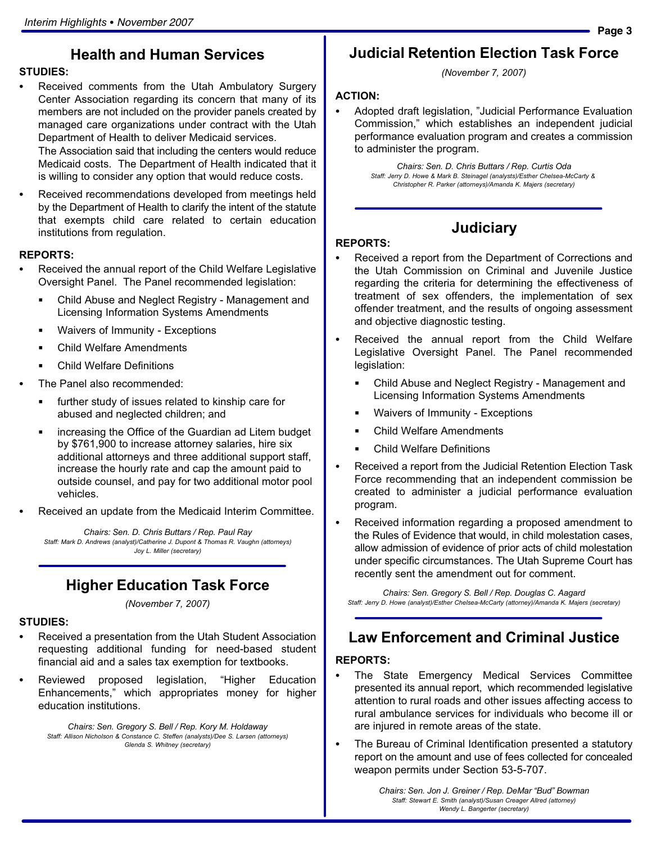### Health and Human Services

# STUDIES: -

- Received comments from the Utah Ambulatory Surgery Center Association regarding its concern that many of its members are not included on the provider panels created by managed care organizations under contract with the Utah Department of Health to deliver Medicaid services. The Association said that including the centers would reduce Medicaid costs. The Department of Health indicated that it is willing to consider any option that would reduce costs.
- Received recommendations developed from meetings held by the Department of Health to clarify the intent of the statute that exempts child care related to certain education institutions from regulation.

### REPORTS:

- Received the annual report of the Child Welfare Legislative Oversight Panel. The Panel recommended legislation:
	- Child Abuse and Neglect Registry − Management and Licensing Information Systems Amendments
	- Waivers of Immunity Exceptions
	- Child Welfare Amendments
	- Child Welfare Definitions
- The Panel also recommended:
	- further study of issues related to kinship care for abused and neglected children; and
	- **EXEDEE** increasing the Office of the Guardian ad Litem budget by \$761,900 to increase attorney salaries, hire six additional attorneys and three additional support staff, increase the hourly rate and cap the amount paid to outside counsel, and pay for two additional motor pool vehicles.
- Received an update from the Medicaid Interim Committee.

Chairs: Sen. D. Chris Buttars / Rep. Paul Ray Staff: Mark D. Andrews (analyst)/Catherine J. Dupont & Thomas R. Vaughn (attorneys) Joy L. Miller (secretary)

### Higher Education Task Force

(November 7, 2007)

# STUDIES:<br>-

- Received a presentation from the Utah Student Association requesting additional funding for need−based student financial aid and a sales tax exemption for textbooks.
- Reviewed proposed legislation, "Higher Education Enhancements," which appropriates money for higher education institutions.

Chairs: Sen. Gregory S. Bell / Rep. Kory M. Holdaway Staff: Allison Nicholson & Constance C. Steffen (analysts)/Dee S. Larsen (attorneys) Glenda S. Whitney (secretary)

# Judicial Retention Election Task Force

(November 7, 2007)

### ACTION: -

 Adopted draft legislation, "Judicial Performance Evaluation Commission," which establishes an independent judicial performance evaluation program and creates a commission to administer the program.

> Chairs: Sen. D. Chris Buttars / Rep. Curtis Oda Staff: Jerry D. Howe & Mark B. Steinagel (analysts)/Esther Chelsea−McCarty & Christopher R. Parker (attorneys)/Amanda K. Majers (secretary)

> > **Judiciary**

- REPORTS:<br>— Received a report from the Department of Corrections and the Utah Commission on Criminal and Juvenile Justice regarding the criteria for determining the effectiveness of treatment of sex offenders, the implementation of sex offender treatment, and the results of ongoing assessment and objective diagnostic testing.
- Received the annual report from the Child Welfare Legislative Oversight Panel. The Panel recommended legislation:
	- Child Abuse and Neglect Registry − Management and Licensing Information Systems Amendments
	- Waivers of Immunity Exceptions
	- Child Welfare Amendments
	- Child Welfare Definitions
- Received a report from the Judicial Retention Election Task Force recommending that an independent commission be created to administer a judicial performance evaluation program.
- Received information regarding a proposed amendment to the Rules of Evidence that would, in child molestation cases, allow admission of evidence of prior acts of child molestation under specific circumstances. The Utah Supreme Court has recently sent the amendment out for comment.

Chairs: Sen. Gregory S. Bell / Rep. Douglas C. Aagard Staff: Jerry D. Howe (analyst)/Esther Chelsea−McCarty (attorney)/Amanda K. Majers (secretary)

# Law Enforcement and Criminal Justice

## REPORTS: -

- The State Emergency Medical Services Committee presented its annual report, which recommended legislative attention to rural roads and other issues affecting access to rural ambulance services for individuals who become ill or are injured in remote areas of the state.
- The Bureau of Criminal Identification presented a statutory report on the amount and use of fees collected for concealed weapon permits under Section 53−5−707.

Chairs: Sen. Jon J. Greiner / Rep. DeMar "Bud" Bowman Staff: Stewart E. Smith (analyst)/Susan Creager Allred (attorney) Wendy L. Bangerter (secretary)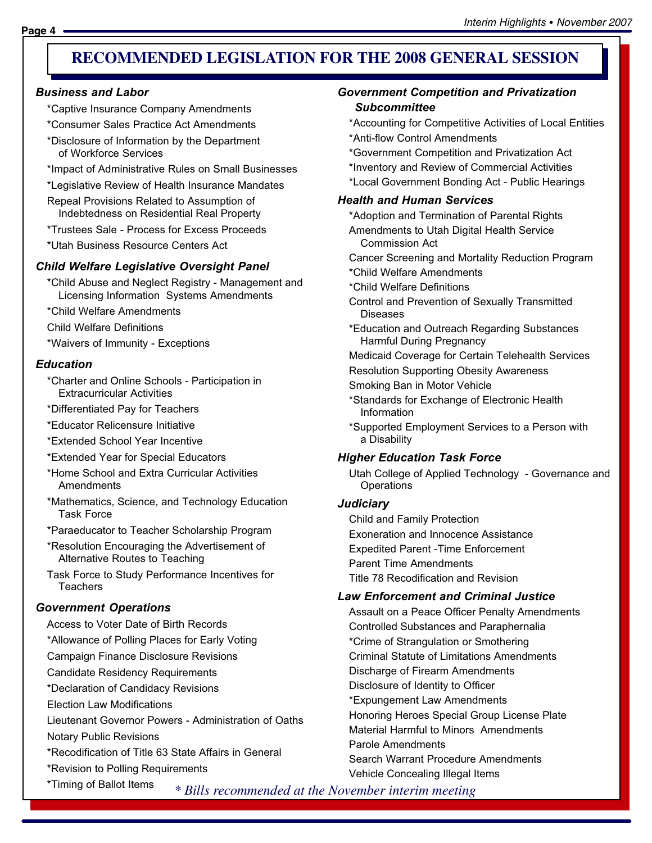### **RECOMMENDED LEGISLATION FOR THE 2008 GENERAL SESSION FOR 2007**

#### Business and Labor

- \*Captive Insurance Company Amendments
- \*Consumer Sales Practice Act Amendments
- \*Disclosure of Information by the Department of Workforce Services
- \*Impact of Administrative Rules on Small Businesses
- \*Legislative Review of Health Insurance Mandates
- Repeal Provisions Related to Assumption of Indebtedness on Residential Real Property
- \*Trustees Sale − Process for Excess Proceeds
- \*Utah Business Resource Centers Act

#### Child Welfare Legislative Oversight Panel

- \*Child Abuse and Neglect Registry − Management and Licensing Information Systems Amendments
- \*Child Welfare Amendments
- Child Welfare Definitions
- \*Waivers of Immunity − Exceptions

#### **Education**

- \*Charter and Online Schools − Participation in Extracurricular Activities
- \*Differentiated Pay for Teachers
- \*Educator Relicensure Initiative
- \*Extended School Year Incentive
- \*Extended Year for Special Educators
- \*Home School and Extra Curricular Activities **Amendments**
- \*Mathematics, Science, and Technology Education Task Force
- \*Paraeducator to Teacher Scholarship Program
- \*Resolution Encouraging the Advertisement of Alternative Routes to Teaching
- Task Force to Study Performance Incentives for **Teachers**

#### Government Operations

- Access to Voter Date of Birth Records
- \*Allowance of Polling Places for Early Voting
- Campaign Finance Disclosure Revisions
- Candidate Residency Requirements
- \*Declaration of Candidacy Revisions
- Election Law Modifications
- Lieutenant Governor Powers − Administration of Oaths
- Notary Public Revisions
- \*Recodification of Title 63 State Affairs in General
- \*Revision to Polling Requirements
- \*Timing of Ballot Items

#### Government Competition and Privatization Subcommittee

- \*Accounting for Competitive Activities of Local Entities
- \*Anti−flow Control Amendments
- \*Government Competition and Privatization Act
- \*Inventory and Review of Commercial Activities
- \*Local Government Bonding Act − Public Hearings

#### Health and Human Services

- \*Adoption and Termination of Parental Rights
- Amendments to Utah Digital Health Service Commission Act
- Cancer Screening and Mortality Reduction Program
- \*Child Welfare Amendments
- \*Child Welfare Definitions
- Control and Prevention of Sexually Transmitted Diseases
- \*Education and Outreach Regarding Substances Harmful During Pregnancy
- Medicaid Coverage for Certain Telehealth Services
- Resolution Supporting Obesity Awareness
- Smoking Ban in Motor Vehicle
- \*Standards for Exchange of Electronic Health Information
- \*Supported Employment Services to a Person with a Disability

#### Higher Education Task Force

Utah College of Applied Technology − Governance and **Operations** 

#### **Judiciary**

Child and Family Protection Exoneration and Innocence Assistance Expedited Parent −Time Enforcement Parent Time Amendments Title 78 Recodification and Revision

#### Law Enforcement and Criminal Justice

Assault on a Peace Officer Penalty Amendments Controlled Substances and Paraphernalia \*Crime of Strangulation or Smothering Criminal Statute of Limitations Amendments Discharge of Firearm Amendments Disclosure of Identity to Officer \*Expungement Law Amendments Honoring Heroes Special Group License Plate Material Harmful to Minors Amendments Parole Amendments Search Warrant Procedure Amendments Vehicle Concealing Illegal Items

*\* Bills recommended at the November interim meeting*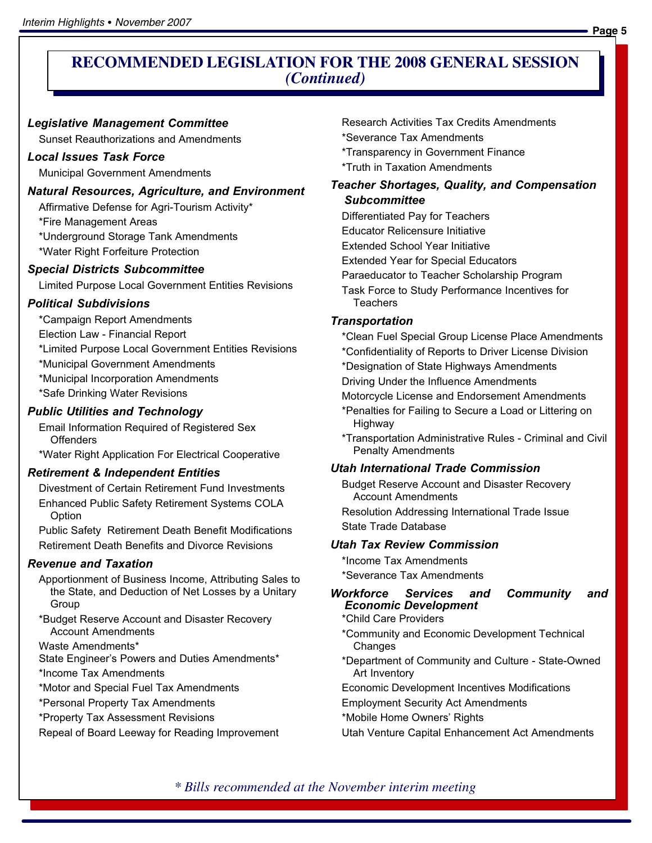### **RECOMMENDED LEGISLATION FOR THE 2008 GENERAL SESSION** *(Continued)*

#### Legislative Management Committee

Sunset Reauthorizations and Amendments

#### Local Issues Task Force

Municipal Government Amendments

#### Natural Resources, Agriculture, and Environment

Affirmative Defense for Agri−Tourism Activity\*

\*Fire Management Areas

\*Underground Storage Tank Amendments

\*Water Right Forfeiture Protection

#### Special Districts Subcommittee

Limited Purpose Local Government Entities Revisions

#### Political Subdivisions

\*Campaign Report Amendments

Election Law − Financial Report

\*Limited Purpose Local Government Entities Revisions

\*Municipal Government Amendments

\*Municipal Incorporation Amendments

\*Safe Drinking Water Revisions

#### Public Utilities and Technology

Email Information Required of Registered Sex **Offenders** 

\*Water Right Application For Electrical Cooperative

#### Retirement & Independent Entities

Divestment of Certain Retirement Fund Investments Enhanced Public Safety Retirement Systems COLA Option

Public Safety Retirement Death Benefit Modifications Retirement Death Benefits and Divorce Revisions

#### Revenue and Taxation

- Apportionment of Business Income, Attributing Sales to the State, and Deduction of Net Losses by a Unitary Group
- \*Budget Reserve Account and Disaster Recovery Account Amendments

Waste Amendments\*

State Engineer's Powers and Duties Amendments\*

\*Income Tax Amendments

\*Motor and Special Fuel Tax Amendments

\*Personal Property Tax Amendments

\*Property Tax Assessment Revisions

Repeal of Board Leeway for Reading Improvement

Research Activities Tax Credits Amendments

\*Severance Tax Amendments

\*Transparency in Government Finance

\*Truth in Taxation Amendments

#### Teacher Shortages, Quality, and Compensation Subcommittee

Differentiated Pay for Teachers

- Educator Relicensure Initiative
- Extended School Year Initiative
- Extended Year for Special Educators
- Paraeducator to Teacher Scholarship Program
- Task Force to Study Performance Incentives for **Teachers**

#### **Transportation**

- \*Clean Fuel Special Group License Place Amendments
- \*Confidentiality of Reports to Driver License Division
- \*Designation of State Highways Amendments
- Driving Under the Influence Amendments
- Motorcycle License and Endorsement Amendments
- \*Penalties for Failing to Secure a Load or Littering on Highway
- \*Transportation Administrative Rules − Criminal and Civil Penalty Amendments

### Utah International Trade Commission

Budget Reserve Account and Disaster Recovery Account Amendments

Resolution Addressing International Trade Issue State Trade Database

#### Utah Tax Review Commission

\*Income Tax Amendments

\*Severance Tax Amendments

#### Workforce Services and Community and Economic Development

\*Child Care Providers

\*Community and Economic Development Technical Changes

- \*Department of Community and Culture − State−Owned Art Inventory
- Economic Development Incentives Modifications
- Employment Security Act Amendments
- \*Mobile Home Owners' Rights

Utah Venture Capital Enhancement Act Amendments

*\* Bills recommended at the November interim meeting*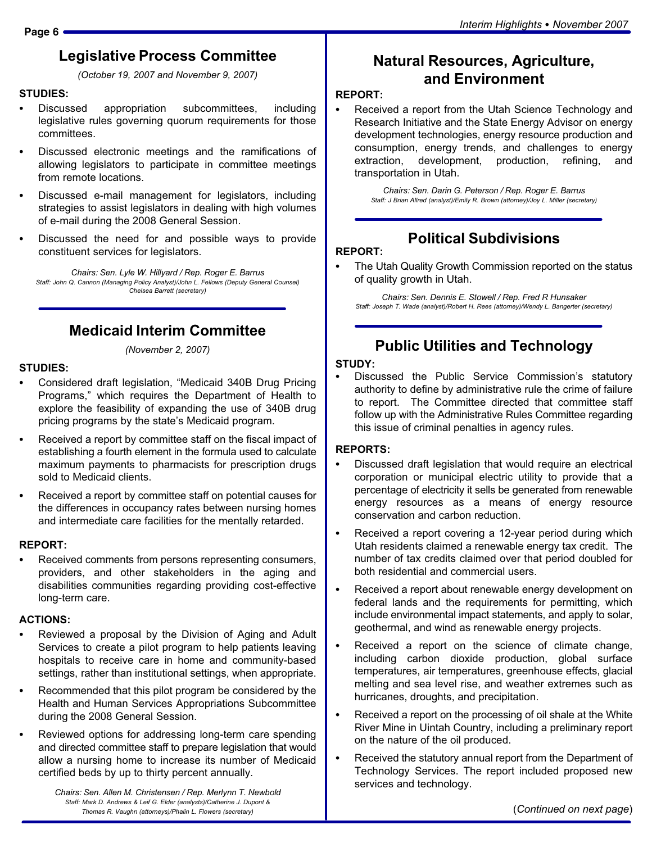# Legislative Process Committee

(October 19, 2007 and November 9, 2007)

### STUDIES:<br>--

- Discussed appropriation subcommittees, including legislative rules governing quorum requirements for those committees.
- Discussed electronic meetings and the ramifications of allowing legislators to participate in committee meetings from remote locations.
- Discussed e−mail management for legislators, including strategies to assist legislators in dealing with high volumes of e−mail during the 2008 General Session.
- Discussed the need for and possible ways to provide constituent services for legislators.

Chairs: Sen. Lyle W. Hillyard / Rep. Roger E. Barrus Staff: John Q. Cannon (Managing Policy Analyst)/John L. Fellows (Deputy General Counsel) Chelsea Barrett (secretary)

# Medicaid Interim Committee

(November 2, 2007)

# STUDIES:<br>-

- Considered draft legislation, "Medicaid 340B Drug Pricing Programs," which requires the Department of Health to explore the feasibility of expanding the use of 340B drug pricing programs by the state's Medicaid program.
- Received a report by committee staff on the fiscal impact of establishing a fourth element in the formula used to calculate maximum payments to pharmacists for prescription drugs sold to Medicaid clients.
- Received a report by committee staff on potential causes for the differences in occupancy rates between nursing homes and intermediate care facilities for the mentally retarded.

# REPORT: -

 Received comments from persons representing consumers, providers, and other stakeholders in the aging and disabilities communities regarding providing cost−effective long−term care.

# ACTIONS:

- Reviewed a proposal by the Division of Aging and Adult Services to create a pilot program to help patients leaving hospitals to receive care in home and community−based settings, rather than institutional settings, when appropriate.
- Recommended that this pilot program be considered by the Health and Human Services Appropriations Subcommittee during the 2008 General Session.
- Reviewed options for addressing long−term care spending and directed committee staff to prepare legislation that would allow a nursing home to increase its number of Medicaid certified beds by up to thirty percent annually.

Chairs: Sen. Allen M. Christensen / Rep. Merlynn T. Newbold Staff: Mark D. Andrews & Leif G. Elder (analysts)/Catherine J. Dupont & Thomas R. Vaughn (attorneys)/Phalin L. Flowers (secretary)

# Natural Resources, Agriculture, and Environment

### REPORT: -

 Received a report from the Utah Science Technology and Research Initiative and the State Energy Advisor on energy development technologies, energy resource production and consumption, energy trends, and challenges to energy extraction, development, production, refining, and transportation in Utah.

> Chairs: Sen. Darin G. Peterson / Rep. Roger E. Barrus Staff: J Brian Allred (analyst)/Emily R. Brown (attorney)/Joy L. Miller (secretary)

# Political Subdivisions

# REPORT:<br>... ...

 The Utah Quality Growth Commission reported on the status of quality growth in Utah.

Chairs: Sen. Dennis E. Stowell / Rep. Fred R Hunsaker Staff: Joseph T. Wade (analyst)/Robert H. Rees (attorney)/Wendy L. Bangerter (secretary)

# Public Utilities and Technology

### STUDY:

 Discussed the Public Service Commission's statutory authority to define by administrative rule the crime of failure to report. The Committee directed that committee staff follow up with the Administrative Rules Committee regarding this issue of criminal penalties in agency rules.

### REPORTS: -

- Discussed draft legislation that would require an electrical corporation or municipal electric utility to provide that a percentage of electricity it sells be generated from renewable energy resources as a means of energy resource conservation and carbon reduction.
- Received a report covering a 12−year period during which Utah residents claimed a renewable energy tax credit. The number of tax credits claimed over that period doubled for both residential and commercial users.
- Received a report about renewable energy development on federal lands and the requirements for permitting, which include environmental impact statements, and apply to solar, geothermal, and wind as renewable energy projects.
- $\bullet$  Received a report on the science of climate change, including carbon dioxide production, global surface temperatures, air temperatures, greenhouse effects, glacial melting and sea level rise, and weather extremes such as hurricanes, droughts, and precipitation.
- $\bullet$  Received a report on the processing of oil shale at the White River Mine in Uintah Country, including a preliminary report on the nature of the oil produced.
- Received the statutory annual report from the Department of Technology Services. The report included proposed new services and technology.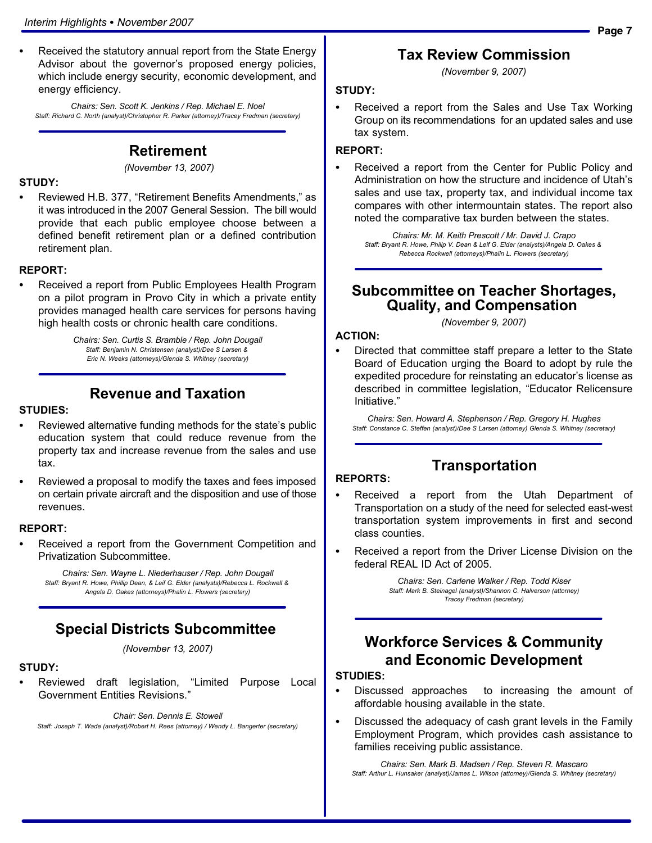Received the statutory annual report from the State Energy Advisor about the governor's proposed energy policies, which include energy security, economic development, and energy efficiency.

Chairs: Sen. Scott K. Jenkins / Rep. Michael E. Noel Staff: Richard C. North (analyst)/Christopher R. Parker (attorney)/Tracey Fredman (secretary)

#### Retirement

(November 13, 2007)

### STUDY: -

• Reviewed H.B. 377, "Retirement Benefits Amendments," as it was introduced in the 2007 General Session. The bill would provide that each public employee choose between a defined benefit retirement plan or a defined contribution retirement plan.

### REPORT:<br>-

 Received a report from Public Employees Health Program on a pilot program in Provo City in which a private entity provides managed health care services for persons having high health costs or chronic health care conditions.

> Chairs: Sen. Curtis S. Bramble / Rep. John Dougall Staff: Benjamin N. Christensen (analyst)/Dee S Larsen & Eric N. Weeks (attorneys)/Glenda S. Whitney (secretary)

### Revenue and Taxation

### STUDIES: -

- Reviewed alternative funding methods for the state's public education system that could reduce revenue from the property tax and increase revenue from the sales and use tax.
- Reviewed a proposal to modify the taxes and fees imposed on certain private aircraft and the disposition and use of those revenues.

### REPORT: -

 Received a report from the Government Competition and Privatization Subcommittee.

Chairs: Sen. Wayne L. Niederhauser / Rep. John Dougall Staff: Bryant R. Howe, Phillip Dean, & Leif G. Elder (analysts)/Rebecca L. Rockwell & Angela D. Oakes (attorneys)/Phalin L. Flowers (secretary)

#### Special Districts Subcommittee

(November 13, 2007)

### STUDY:<br>-

• Reviewed draft legislation, "Limited Purpose Local Government Entities Revisions."

Chair: Sen. Dennis E. Stowell Staff: Joseph T. Wade (analyst)/Robert H. Rees (attorney) / Wendy L. Bangerter (secretary)

#### Tax Review Commission

(November 9, 2007)

#### STUDY:

 Received a report from the Sales and Use Tax Working Group on its recommendations for an updated sales and use tax system.

#### REPORT:

 Received a report from the Center for Public Policy and Administration on how the structure and incidence of Utah's sales and use tax, property tax, and individual income tax compares with other intermountain states. The report also noted the comparative tax burden between the states.

Chairs: Mr. M. Keith Prescott / Mr. David J. Crapo Staff: Bryant R. Howe, Philip V. Dean & Leif G. Elder (analysts)/Angela D. Oakes & Rebecca Rockwell (attorneys)/Phalin L. Flowers (secretary)

#### Subcommittee on Teacher Shortages, Quality, and Compensation

(November 9, 2007)

### ACTION: -

 Directed that committee staff prepare a letter to the State Board of Education urging the Board to adopt by rule the expedited procedure for reinstating an educator's license as described in committee legislation, "Educator Relicensure Initiative."

Chairs: Sen. Howard A. Stephenson / Rep. Gregory H. Hughes Staff: Constance C. Steffen (analyst)/Dee S Larsen (attorney) Glenda S. Whitney (secretary)

### Transportation

#### REPORTS:

- Received a report from the Utah Department of Transportation on a study of the need for selected east−west transportation system improvements in first and second class counties.
- Received a report from the Driver License Division on the federal REAL ID Act of 2005.

Chairs: Sen. Carlene Walker / Rep. Todd Kiser Staff: Mark B. Steinagel (analyst)/Shannon C. Halverson (attorney) Tracey Fredman (secretary)

### Workforce Services & Community and Economic Development

### STUDIES:<br>--

- Discussed approaches to increasing the amount of affordable housing available in the state.
- Discussed the adequacy of cash grant levels in the Family Employment Program, which provides cash assistance to families receiving public assistance.

Chairs: Sen. Mark B. Madsen / Rep. Steven R. Mascaro Staff: Arthur L. Hunsaker (analyst)/James L. Wilson (attorney)/Glenda S. Whitney (secretary)